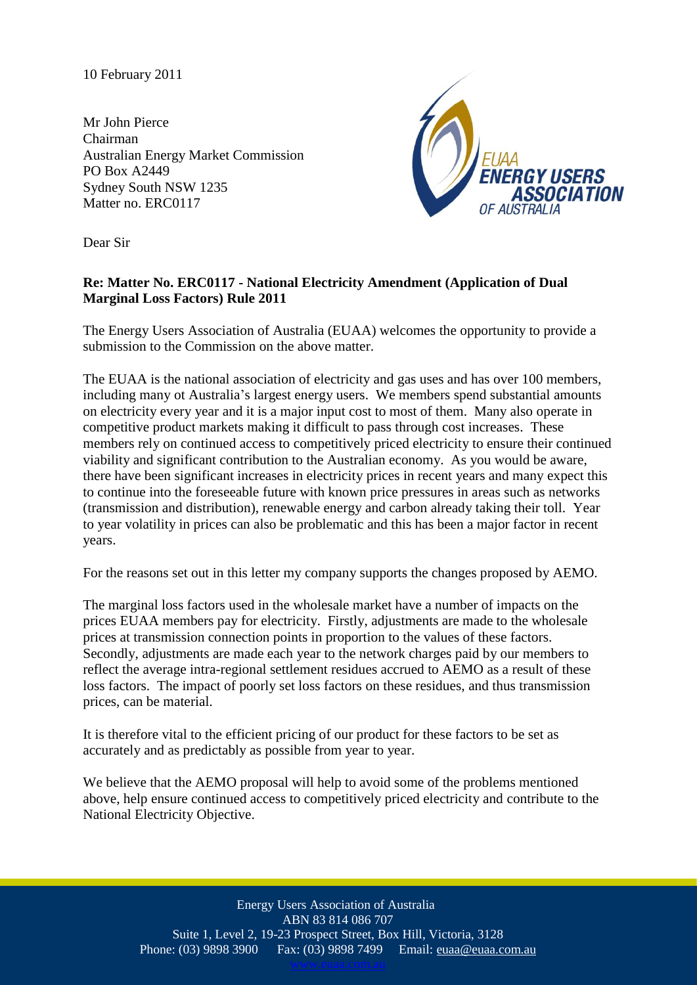10 February 2011

Mr John Pierce Chairman Australian Energy Market Commission PO Box A2449 Sydney South NSW 1235 Matter no. ERC0117



Dear Sir

## **Re: Matter No. ERC0117 - National Electricity Amendment (Application of Dual Marginal Loss Factors) Rule 2011**

The Energy Users Association of Australia (EUAA) welcomes the opportunity to provide a submission to the Commission on the above matter.

The EUAA is the national association of electricity and gas uses and has over 100 members, including many ot Australia's largest energy users. We members spend substantial amounts on electricity every year and it is a major input cost to most of them. Many also operate in competitive product markets making it difficult to pass through cost increases. These members rely on continued access to competitively priced electricity to ensure their continued viability and significant contribution to the Australian economy. As you would be aware, there have been significant increases in electricity prices in recent years and many expect this to continue into the foreseeable future with known price pressures in areas such as networks (transmission and distribution), renewable energy and carbon already taking their toll. Year to year volatility in prices can also be problematic and this has been a major factor in recent years.

For the reasons set out in this letter my company supports the changes proposed by AEMO.

The marginal loss factors used in the wholesale market have a number of impacts on the prices EUAA members pay for electricity. Firstly, adjustments are made to the wholesale prices at transmission connection points in proportion to the values of these factors. Secondly, adjustments are made each year to the network charges paid by our members to reflect the average intra-regional settlement residues accrued to AEMO as a result of these loss factors. The impact of poorly set loss factors on these residues, and thus transmission prices, can be material.

It is therefore vital to the efficient pricing of our product for these factors to be set as accurately and as predictably as possible from year to year.

We believe that the AEMO proposal will help to avoid some of the problems mentioned above, help ensure continued access to competitively priced electricity and contribute to the National Electricity Objective.

> Energy Users Association of Australia ABN 83 814 086 707 Suite 1, Level 2, 19-23 Prospect Street, Box Hill, Victoria, 3128 Phone: (03) 9898 3900 Fax: (03) 9898 7499 Email: euaa@euaa.com.au